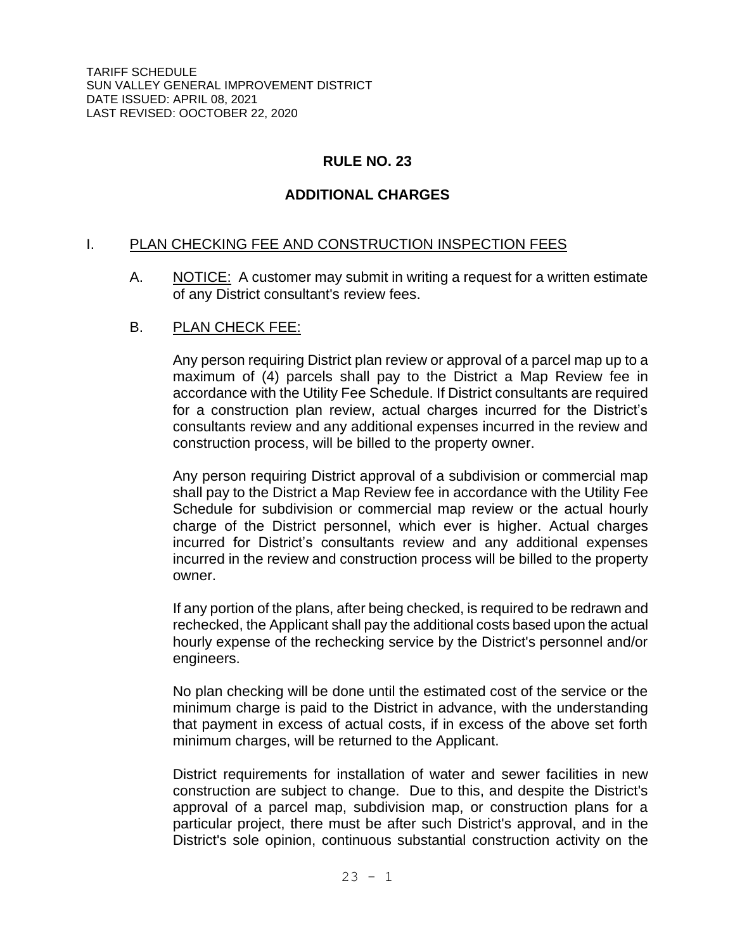TARIFF SCHEDULE SUN VALLEY GENERAL IMPROVEMENT DISTRICT DATE ISSUED: APRIL 08, 2021 LAST REVISED: OOCTOBER 22, 2020

# **RULE NO. 23**

# **ADDITIONAL CHARGES**

### I. PLAN CHECKING FEE AND CONSTRUCTION INSPECTION FEES

A. NOTICE: A customer may submit in writing a request for a written estimate of any District consultant's review fees.

## B. PLAN CHECK FEE:

Any person requiring District plan review or approval of a parcel map up to a maximum of (4) parcels shall pay to the District a Map Review fee in accordance with the Utility Fee Schedule. If District consultants are required for a construction plan review, actual charges incurred for the District's consultants review and any additional expenses incurred in the review and construction process, will be billed to the property owner.

Any person requiring District approval of a subdivision or commercial map shall pay to the District a Map Review fee in accordance with the Utility Fee Schedule for subdivision or commercial map review or the actual hourly charge of the District personnel, which ever is higher. Actual charges incurred for District's consultants review and any additional expenses incurred in the review and construction process will be billed to the property owner.

If any portion of the plans, after being checked, is required to be redrawn and rechecked, the Applicant shall pay the additional costs based upon the actual hourly expense of the rechecking service by the District's personnel and/or engineers.

No plan checking will be done until the estimated cost of the service or the minimum charge is paid to the District in advance, with the understanding that payment in excess of actual costs, if in excess of the above set forth minimum charges, will be returned to the Applicant.

District requirements for installation of water and sewer facilities in new construction are subject to change. Due to this, and despite the District's approval of a parcel map, subdivision map, or construction plans for a particular project, there must be after such District's approval, and in the District's sole opinion, continuous substantial construction activity on the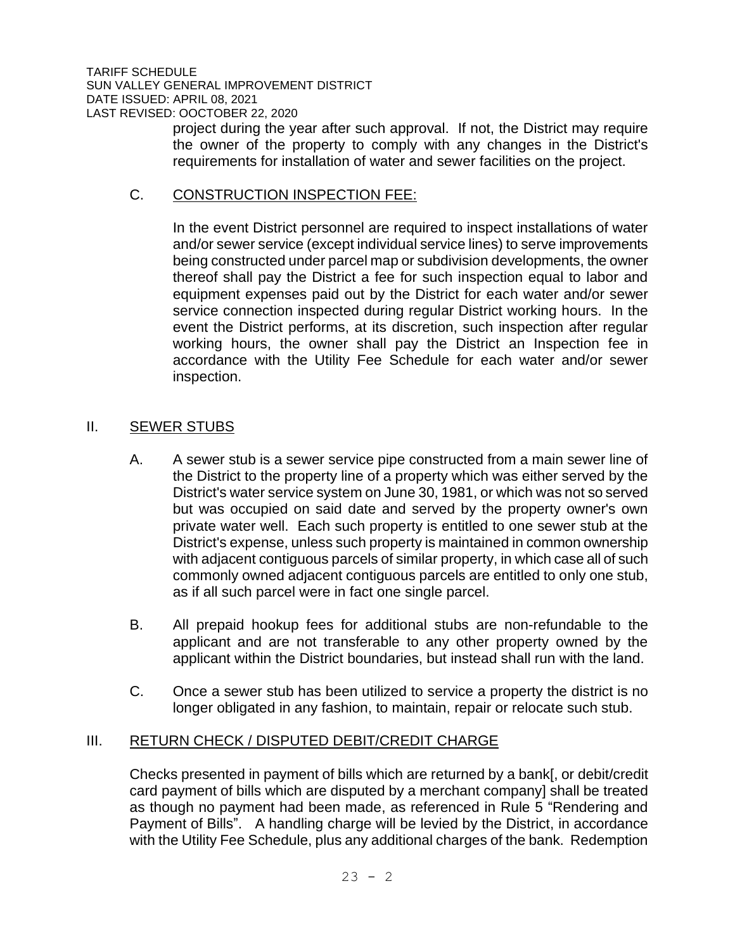project during the year after such approval. If not, the District may require the owner of the property to comply with any changes in the District's requirements for installation of water and sewer facilities on the project.

## C. CONSTRUCTION INSPECTION FEE:

In the event District personnel are required to inspect installations of water and/or sewer service (except individual service lines) to serve improvements being constructed under parcel map or subdivision developments, the owner thereof shall pay the District a fee for such inspection equal to labor and equipment expenses paid out by the District for each water and/or sewer service connection inspected during regular District working hours. In the event the District performs, at its discretion, such inspection after regular working hours, the owner shall pay the District an Inspection fee in accordance with the Utility Fee Schedule for each water and/or sewer inspection.

## II. SEWER STUBS

- A. A sewer stub is a sewer service pipe constructed from a main sewer line of the District to the property line of a property which was either served by the District's water service system on June 30, 1981, or which was not so served but was occupied on said date and served by the property owner's own private water well. Each such property is entitled to one sewer stub at the District's expense, unless such property is maintained in common ownership with adjacent contiguous parcels of similar property, in which case all of such commonly owned adjacent contiguous parcels are entitled to only one stub, as if all such parcel were in fact one single parcel.
- B. All prepaid hookup fees for additional stubs are non-refundable to the applicant and are not transferable to any other property owned by the applicant within the District boundaries, but instead shall run with the land.
- C. Once a sewer stub has been utilized to service a property the district is no longer obligated in any fashion, to maintain, repair or relocate such stub.

# III. RETURN CHECK / DISPUTED DEBIT/CREDIT CHARGE

Checks presented in payment of bills which are returned by a bank[, or debit/credit card payment of bills which are disputed by a merchant company] shall be treated as though no payment had been made, as referenced in Rule 5 "Rendering and Payment of Bills". A handling charge will be levied by the District, in accordance with the Utility Fee Schedule, plus any additional charges of the bank. Redemption